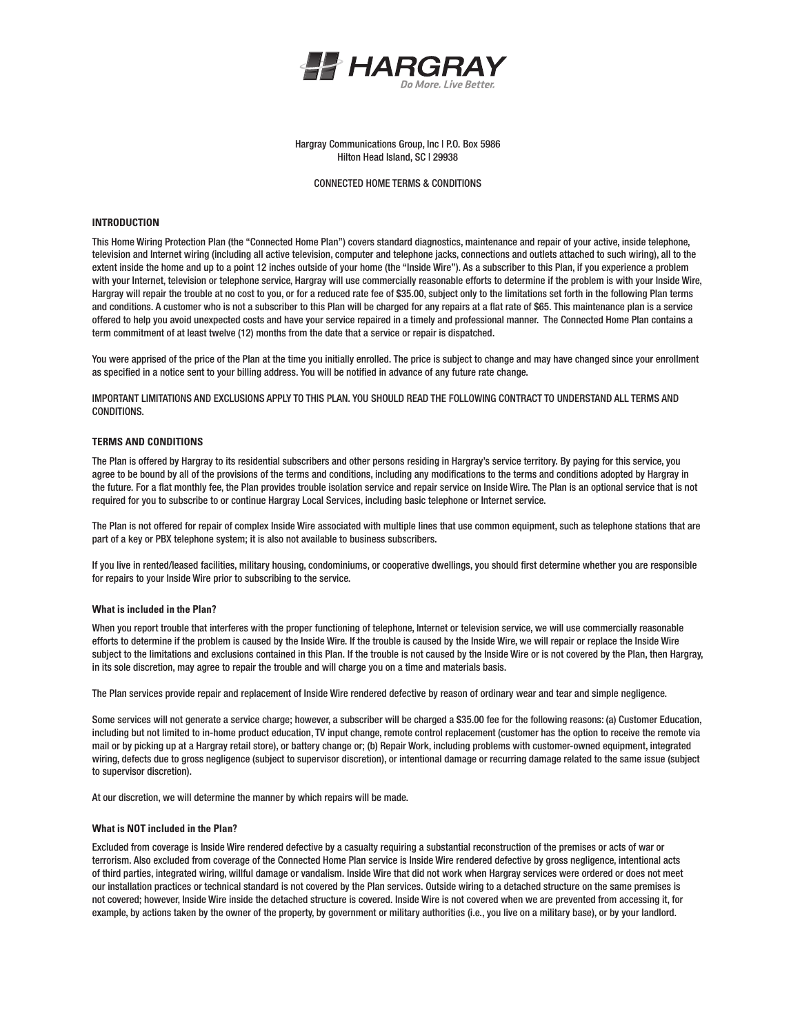

Hargray Communications Group, Inc | P.O. Box 5986 Hilton Head Island, SC | 29938

### CONNECTED HOME TERMS & CONDITIONS

## **INTRODUCTION**

This Home Wiring Protection Plan (the "Connected Home Plan") covers standard diagnostics, maintenance and repair of your active, inside telephone, television and Internet wiring (including all active television, computer and telephone jacks, connections and outlets attached to such wiring), all to the extent inside the home and up to a point 12 inches outside of your home (the "Inside Wire"). As a subscriber to this Plan, if you experience a problem with your Internet, television or telephone service, Hargray will use commercially reasonable efforts to determine if the problem is with your Inside Wire, Hargray will repair the trouble at no cost to you, or for a reduced rate fee of \$35.00, subject only to the limitations set forth in the following Plan terms and conditions. A customer who is not a subscriber to this Plan will be charged for any repairs at a flat rate of \$65. This maintenance plan is a service offered to help you avoid unexpected costs and have your service repaired in a timely and professional manner. The Connected Home Plan contains a term commitment of at least twelve (12) months from the date that a service or repair is dispatched.

You were apprised of the price of the Plan at the time you initially enrolled. The price is subject to change and may have changed since your enrollment as specified in a notice sent to your billing address. You will be notified in advance of any future rate change.

IMPORTANT LIMITATIONS AND EXCLUSIONS APPLY TO THIS PLAN. YOU SHOULD READ THE FOLLOWING CONTRACT TO UNDERSTAND ALL TERMS AND CONDITIONS.

## **TERMS AND CONDITIONS**

The Plan is offered by Hargray to its residential subscribers and other persons residing in Hargray's service territory. By paying for this service, you agree to be bound by all of the provisions of the terms and conditions, including any modifications to the terms and conditions adopted by Hargray in the future. For a flat monthly fee, the Plan provides trouble isolation service and repair service on Inside Wire. The Plan is an optional service that is not required for you to subscribe to or continue Hargray Local Services, including basic telephone or Internet service.

The Plan is not offered for repair of complex Inside Wire associated with multiple lines that use common equipment, such as telephone stations that are part of a key or PBX telephone system; it is also not available to business subscribers.

If you live in rented/leased facilities, military housing, condominiums, or cooperative dwellings, you should first determine whether you are responsible for repairs to your Inside Wire prior to subscribing to the service.

#### **What is included in the Plan?**

When you report trouble that interferes with the proper functioning of telephone, Internet or television service, we will use commercially reasonable efforts to determine if the problem is caused by the Inside Wire. If the trouble is caused by the Inside Wire, we will repair or replace the Inside Wire subject to the limitations and exclusions contained in this Plan. If the trouble is not caused by the Inside Wire or is not covered by the Plan, then Hargray, in its sole discretion, may agree to repair the trouble and will charge you on a time and materials basis.

The Plan services provide repair and replacement of Inside Wire rendered defective by reason of ordinary wear and tear and simple negligence.

Some services will not generate a service charge; however, a subscriber will be charged a \$35.00 fee for the following reasons: (a) Customer Education, including but not limited to in-home product education, TV input change, remote control replacement (customer has the option to receive the remote via mail or by picking up at a Hargray retail store), or battery change or; (b) Repair Work, including problems with customer-owned equipment, integrated wiring, defects due to gross negligence (subject to supervisor discretion), or intentional damage or recurring damage related to the same issue (subject to supervisor discretion).

At our discretion, we will determine the manner by which repairs will be made.

#### **What is NOT included in the Plan?**

Excluded from coverage is Inside Wire rendered defective by a casualty requiring a substantial reconstruction of the premises or acts of war or terrorism. Also excluded from coverage of the Connected Home Plan service is Inside Wire rendered defective by gross negligence, intentional acts of third parties, integrated wiring, willful damage or vandalism. Inside Wire that did not work when Hargray services were ordered or does not meet our installation practices or technical standard is not covered by the Plan services. Outside wiring to a detached structure on the same premises is not covered; however, Inside Wire inside the detached structure is covered. Inside Wire is not covered when we are prevented from accessing it, for example, by actions taken by the owner of the property, by government or military authorities (i.e., you live on a military base), or by your landlord.